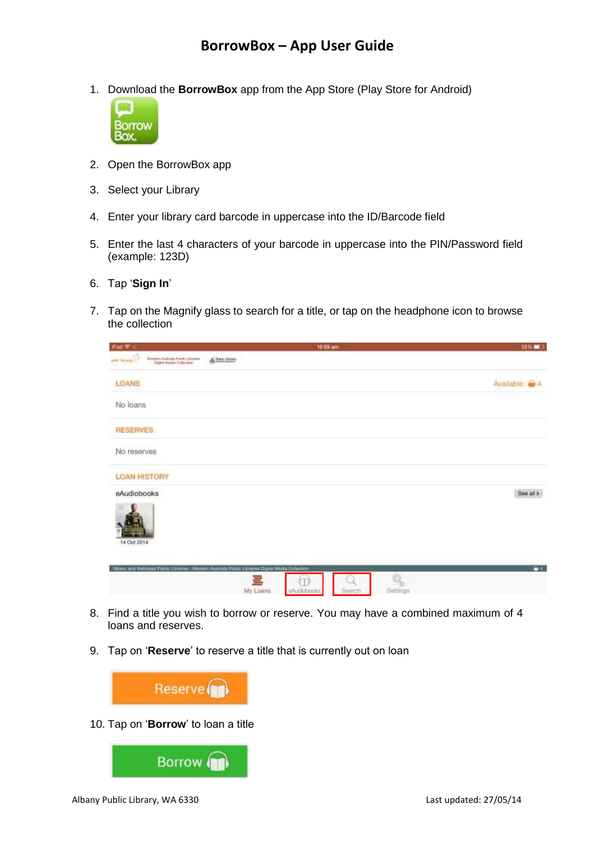1. Download the **BorrowBox** app from the App Store (Play Store for Android)



- 2. Open the BorrowBox app
- 3. Select your Library
- 4. Enter your library card barcode in uppercase into the ID/Barcode field
- 5. Enter the last 4 characters of your barcode in uppercase into the PIN/Password field (example: 123D)
- 6. Tap '**Sign In**'
- 7. Tap on the Magnify glass to search for a title, or tap on the headphone icon to browse the collection

| Part 94                                                                                                          |                  | 10:59 am              |        |               | 5936       |
|------------------------------------------------------------------------------------------------------------------|------------------|-----------------------|--------|---------------|------------|
| $\sum_{i=1}^N\frac{1}{\ x_i\ _{L^2(\Omega)}}$ and<br>Wernico Australia Públic Usantes<br>Elsiko Media Collection | Si State Library |                       |        |               |            |
| LOANS                                                                                                            |                  |                       |        |               | Available: |
| No loans                                                                                                         |                  |                       |        |               |            |
| <b>RESERVES</b>                                                                                                  |                  |                       |        |               |            |
| No reserves                                                                                                      |                  |                       |        |               |            |
| <b>LOAN HISTORY</b>                                                                                              |                  |                       |        |               |            |
| eAudiobooks<br>14 Oct 2014                                                                                       |                  |                       |        |               | See all >  |
| Alberty and Weltstead Public Citystries - Western Australia Public Libraries Digital Madia Deliversion           | щ<br>My Loans    | 6 T I<br>elludiobooks | Search | 像<br>Settings | u.         |

- 8. Find a title you wish to borrow or reserve. You may have a combined maximum of 4 loans and reserves.
- 9. Tap on '**Reserve**' to reserve a title that is currently out on loan



10. Tap on '**Borrow**' to loan a title